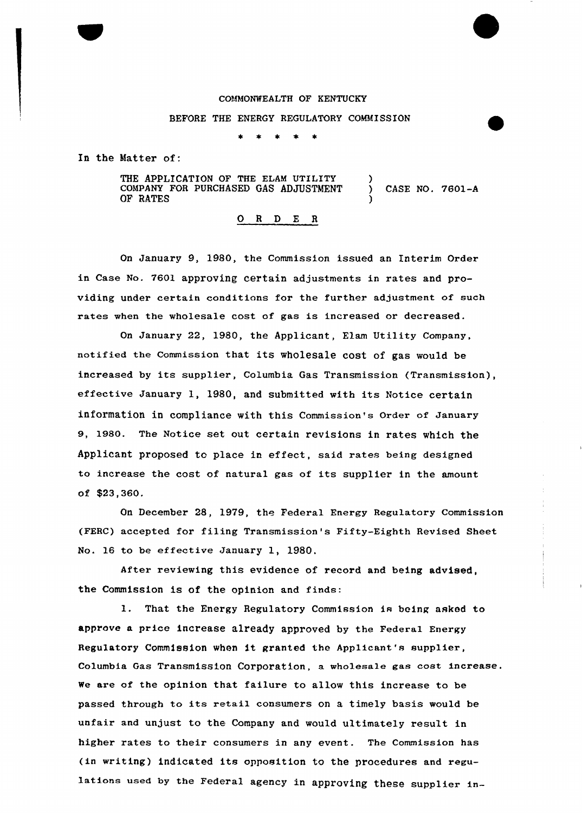# COMMONWEALTH OF KENTUCKY

### BEFORE THE ENERGY REGULATORY COMMISSION

In the Matter of:

THE APPLICATION OF THE ELAM UTILITY COMPANY FOR PURCHASED GAS ADJUSTMENT GF RATES ) ) CASE NO. 7601-A )

0 <sup>R</sup> <sup>D</sup> E <sup>R</sup>

On January 9, 1980, the Commission issued an Interim Order in Case No. 7601 approving certain adjustments in rates and providing under certain conditions for the further adjustment of such rates when the wholesale cost of gas is increased or decreased.

On January 22, 1980, the Applicant, Elam Utility Company, notified the commission that its wholesale cost of gas would be increased by its supplier, Columbia Gas Transmission (Transmission), effective January 1, 1980, and submitted with its Notice certain information in compliance with this Commission's order of January 9, 1980. The Notice set out certain revisions in rates which the Applicant proposed to place in effect, said rates being designed to increase the cost of natural gas of its supplier in the amount of \$23,360.

On December 28, 1979, the Federal Energy Regu1atory Commission (FERC) accepted for filing Transmission's Fifty-Eighth Revised Sheet No. 16 to be effective January 1, 1980.

After reviewing this evidence of record and being advised, the Commission is of the opinion and finds:

l. That the Energy Regulatory Commission is being asked to approve a price increase already approved by the Federal Energy Regulatory Commission when it granted the Applicant's supplier, Columbia Gas Transmission Corporation, a wholesa1e gaa cost increase. we are of the opinion that failure to allow this increase to be passed through to its retail consumers on a timely basis would be unfair and unjust to the Company and would ultimately result in higher rates to their consumers in any event. The Commission has (in writing) indicated its opposition to the procedures and regulations used by the Federal agency in approving these supplier in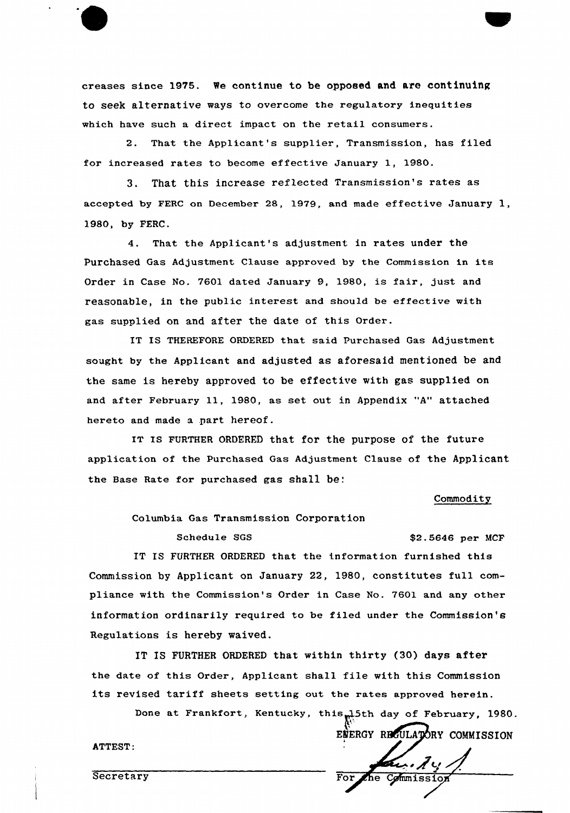creases since 1975. Ne continue to be opposed and are continuing to seek alternative ways to overcome the regulatory inequities which have such a direct impact on the retail consumers.

2. That the Applicant's supplier, Transmission, has filed for increased rates to become effective January 1, 1980.

3. That this increase reflected Transmission's rates as accepted by FERC on December 28, 1979, and made effective January 1, 1980, by FERC.

4. That the Applicant's adjustment in rates under the Purchased Gas Adjustment Clause approved by the Commission in its Order in Case No. 7601 dated January 9, 1980, is fair, just and reasonable, in the public interest and should be effective with gas supplied on and after the date of this Order.

IT IS THEREFORE ORDERED that said Purchased Gas Adjustment sought by the Applicant and adjusted as aforesaid mentioned be and the same is hereby approved to be effective with gas supplied on and after February 11, 1980, as set out in Appendix "A" attached hereto and made a .part hereof.

IT IS FURTHER ORDERED that for the purpose of the future application of the Purchased Gas Adjustment Clause of the Applicant the Base Rate for purchased gas shall be:<br>Commodity

Columbia Gas Transmission Corporation

# Schedule SGS  $$2.5646$  per MCF

IT IS FURTHER ORDERED that the information furnished this Commission by Applicant on January 22, 1980, constitutes full compliance with the Commission's Order in Case No. 7601 and any other information ordinarily required to be filed under the Commission's Regulations is hereby waived.

IT IS FURTHER ORDERED that within thirty {30) days after the date of this Order, Applicant shall file with this Commission its revised tariff sheets setting out the rates approved herein.

Done at Frankfort, Kentucky, this<sub>m</sub>15th day of February, 1980. i ENERGY REGULATORY COMMISSION ATTEST:

Secretary For the Commission